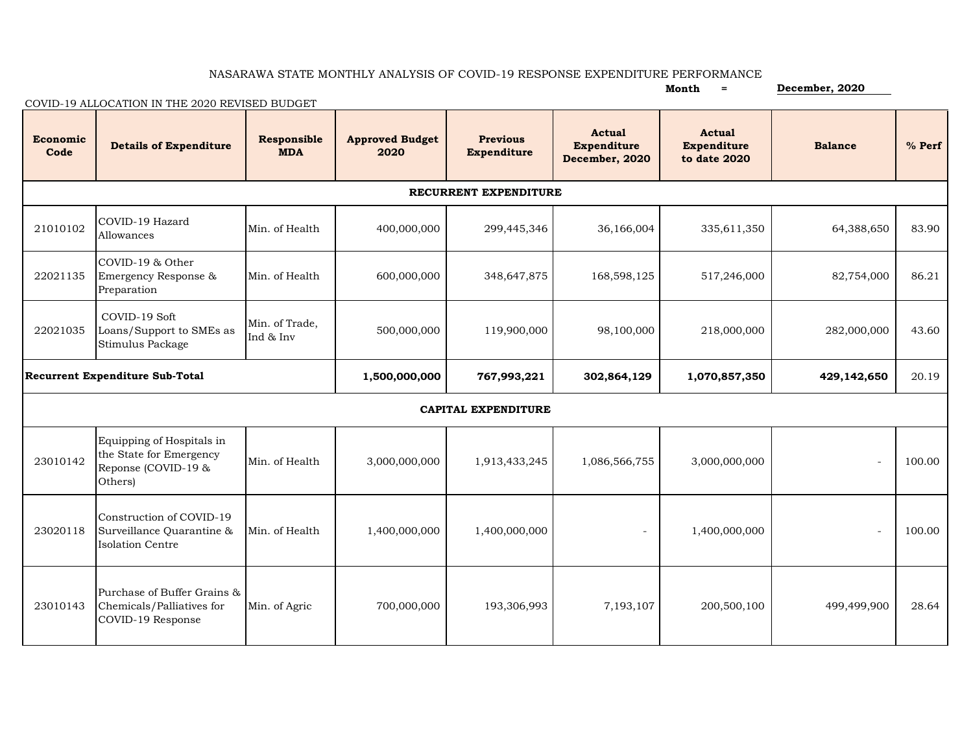## NASARAWA STATE MONTHLY ANALYSIS OF COVID-19 RESPONSE EXPENDITURE PERFORMANCE

|                                 | COVID-19 ALLOCATION IN THE 2020 REVISED BUDGET                                         | Month<br>$=$                | December, 2020                 |                                       |                                                       |                                              |                          |        |  |  |  |  |
|---------------------------------|----------------------------------------------------------------------------------------|-----------------------------|--------------------------------|---------------------------------------|-------------------------------------------------------|----------------------------------------------|--------------------------|--------|--|--|--|--|
| Economic<br>Code                | <b>Details of Expenditure</b>                                                          | Responsible<br><b>MDA</b>   | <b>Approved Budget</b><br>2020 | <b>Previous</b><br><b>Expenditure</b> | <b>Actual</b><br><b>Expenditure</b><br>December, 2020 | <b>Actual</b><br>Expenditure<br>to date 2020 | <b>Balance</b>           | % Perf |  |  |  |  |
| RECURRENT EXPENDITURE           |                                                                                        |                             |                                |                                       |                                                       |                                              |                          |        |  |  |  |  |
| 21010102                        | COVID-19 Hazard<br>Allowances                                                          | Min. of Health              | 400,000,000                    | 299,445,346                           | 36,166,004                                            | 335,611,350                                  | 64,388,650               | 83.90  |  |  |  |  |
| 22021135                        | COVID-19 & Other<br>Emergency Response &<br>Preparation                                | Min. of Health              | 600,000,000                    | 348,647,875                           | 168,598,125                                           | 517,246,000                                  | 82,754,000               | 86.21  |  |  |  |  |
| 22021035                        | COVID-19 Soft<br>Loans/Support to SMEs as<br>Stimulus Package                          | Min. of Trade,<br>Ind & Inv | 500,000,000                    | 119,900,000                           | 98,100,000                                            | 218,000,000                                  | 282,000,000              | 43.60  |  |  |  |  |
| Recurrent Expenditure Sub-Total |                                                                                        |                             | 1,500,000,000                  | 767,993,221                           | 302,864,129                                           | 1,070,857,350                                | 429,142,650              | 20.19  |  |  |  |  |
| <b>CAPITAL EXPENDITURE</b>      |                                                                                        |                             |                                |                                       |                                                       |                                              |                          |        |  |  |  |  |
| 23010142                        | Equipping of Hospitals in<br>the State for Emergency<br>Reponse (COVID-19 &<br>Others) | Min. of Health              | 3,000,000,000                  | 1,913,433,245                         | 1,086,566,755                                         | 3,000,000,000                                | $\overline{\phantom{a}}$ | 100.00 |  |  |  |  |
| 23020118                        | Construction of COVID-19<br>Surveillance Quarantine &<br><b>Isolation Centre</b>       | Min. of Health              | 1,400,000,000                  | 1,400,000,000                         | $\overline{\phantom{a}}$                              | 1,400,000,000                                | $\overline{\phantom{a}}$ | 100.00 |  |  |  |  |
| 23010143                        | Purchase of Buffer Grains &<br>Chemicals/Palliatives for<br>COVID-19 Response          | Min. of Agric               | 700,000,000                    | 193,306,993                           | 7,193,107                                             | 200,500,100                                  | 499,499,900              | 28.64  |  |  |  |  |